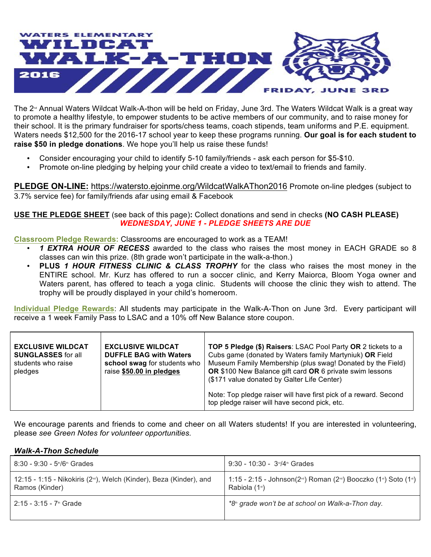

The 2<sup>™</sup> Annual Waters Wildcat Walk-A-thon will be held on Friday, June 3rd. The Waters Wildcat Walk is a great way to promote a healthy lifestyle, to empower students to be active members of our community, and to raise money for their school. It is the primary fundraiser for sports/chess teams, coach stipends, team uniforms and P.E. equipment. Waters needs \$12,500 for the 2016-17 school year to keep these programs running. **Our goal is for each student to raise \$50 in pledge donations**. We hope you'll help us raise these funds!

- Consider encouraging your child to identify 5-10 family/friends ask each person for \$5-\$10.
- Promote on-line pledging by helping your child create a video to text/email to friends and family.

**PLEDGE ON-LINE:** https://watersto.ejoinme.org/WildcatWalkAThon2016 Promote on-line pledges (subject to 3.7% service fee) for family/friends afar using email & Facebook

**USE THE PLEDGE SHEET** (see back of this page)**:** Collect donations and send in checks **(NO CASH PLEASE)** *WEDNESDAY, JUNE 1 - PLEDGE SHEETS ARE DUE*

**Classroom Pledge Rewards:** Classrooms are encouraged to work as a TEAM!

- *1 EXTRA HOUR OF RECESS* awarded to the class who raises the most money in EACH GRADE so 8 classes can win this prize. (8th grade won't participate in the walk-a-thon.)
- **PLUS** *1 HOUR FITNESS CLINIC & CLASS TROPHY* for the class who raises the most money in the ENTIRE school. Mr. Kurz has offered to run a soccer clinic, and Kerry Maiorca, Bloom Yoga owner and Waters parent, has offered to teach a yoga clinic. Students will choose the clinic they wish to attend. The trophy will be proudly displayed in your child's homeroom.

**Individual Pledge Rewards**: All students may participate in the Walk-A-Thon on June 3rd. Every participant will receive a 1 week Family Pass to LSAC and a 10% off New Balance store coupon.

| <b>EXCLUSIVE WILDCAT</b><br><b>SUNGLASSES for all</b><br>students who raise<br>pledges | <b>EXCLUSIVE WILDCAT</b><br><b>DUFFLE BAG with Waters</b><br>school swag for students who<br>raise \$50.00 in pledges | TOP 5 Pledge (\$) Raisers: LSAC Pool Party OR 2 tickets to a<br>Cubs game (donated by Waters family Martyniuk) OR Field<br>Museum Family Membership (plus swag! Donated by the Field)<br><b>OR \$100 New Balance gift card OR 6 private swim lessons</b><br>(\$171 value donated by Galter Life Center) |
|----------------------------------------------------------------------------------------|-----------------------------------------------------------------------------------------------------------------------|---------------------------------------------------------------------------------------------------------------------------------------------------------------------------------------------------------------------------------------------------------------------------------------------------------|
|                                                                                        |                                                                                                                       | Note: Top pledge raiser will have first pick of a reward. Second<br>top pledge raiser will have second pick, etc.                                                                                                                                                                                       |

We encourage parents and friends to come and cheer on all Waters students! If you are interested in volunteering, please *see Green Notes for volunteer opportunities.*

## *Walk-A-Thon Schedule*

| $8:30 - 9:30 - 5$ <sup>th</sup> /6 <sup>th</sup> Grades                                  | 9:30 - 10:30 - $3^{\omega/4}$ Grades                                                                                                 |
|------------------------------------------------------------------------------------------|--------------------------------------------------------------------------------------------------------------------------------------|
| 12:15 - 1:15 - Nikokiris ( $2nd$ ), Welch (Kinder), Beza (Kinder), and<br>Ramos (Kinder) | 1:15 - 2:15 - Johnson(2 <sup>™</sup> ) Roman (2 <sup>™</sup> ) Booczko (1 <sup>™</sup> ) Soto (1 <sup>™</sup> )  <br>Rabiola $(1st)$ |
| $2:15 - 3:15 - 7$ Grade                                                                  | *8 <sup>th</sup> grade won't be at school on Walk-a-Thon day.                                                                        |